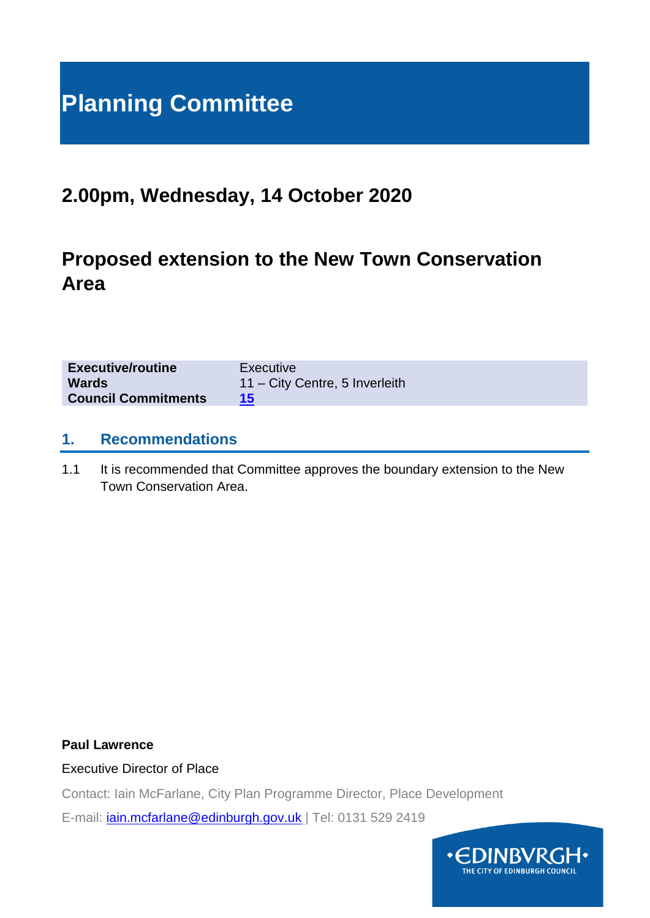# **Planning Committee**

## **2.00pm, Wednesday, 14 October 2020**

## **Proposed extension to the New Town Conservation Area**

| <b>Executive/routine</b>   | Executive                      |
|----------------------------|--------------------------------|
| <b>Wards</b>               | 11 – City Centre, 5 Inverleith |
| <b>Council Commitments</b> |                                |

#### **1. Recommendations**

1.1 It is recommended that Committee approves the boundary extension to the New Town Conservation Area.

#### **Paul Lawrence**

#### Executive Director of Place

Contact: Iain McFarlane, City Plan Programme Director, Place Development

E-mail: *jain.mcfarlane@edinburgh.gov.uk* | Tel: 0131 529 2419

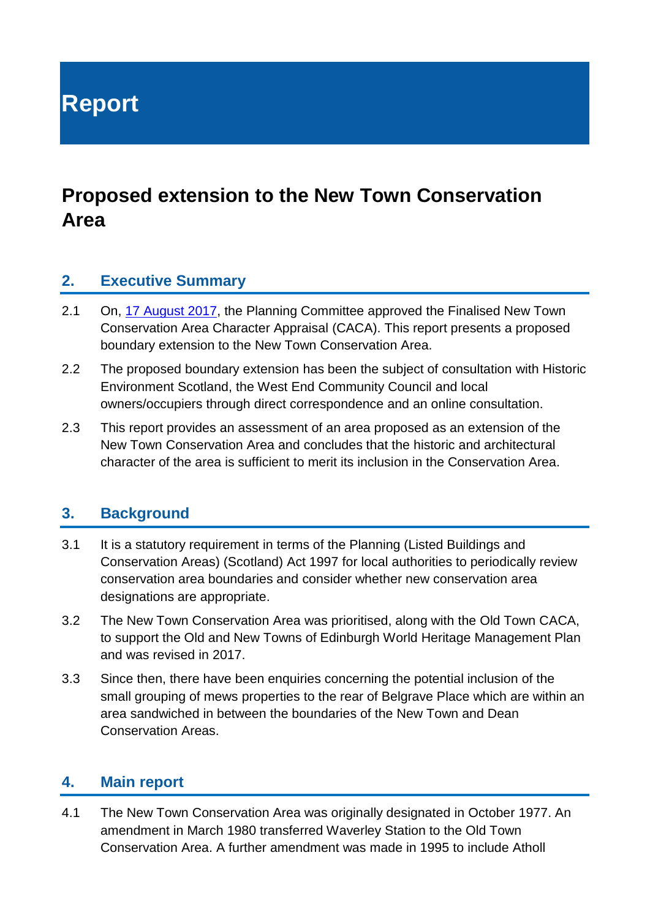**Report**

## **Proposed extension to the New Town Conservation Area**

#### **2. Executive Summary**

- 2.1 On, [17 August 2017,](https://democracy.edinburgh.gov.uk/CeListDocuments.aspx?CommitteeId=147&MeetingId=3709&DF=17%2f08%2f2017&Ver=2) the Planning Committee approved the Finalised New Town Conservation Area Character Appraisal (CACA). This report presents a proposed boundary extension to the New Town Conservation Area.
- 2.2 The proposed boundary extension has been the subject of consultation with Historic Environment Scotland, the West End Community Council and local owners/occupiers through direct correspondence and an online consultation.
- 2.3 This report provides an assessment of an area proposed as an extension of the New Town Conservation Area and concludes that the historic and architectural character of the area is sufficient to merit its inclusion in the Conservation Area.

### **3. Background**

- 3.1 It is a statutory requirement in terms of the Planning (Listed Buildings and Conservation Areas) (Scotland) Act 1997 for local authorities to periodically review conservation area boundaries and consider whether new conservation area designations are appropriate.
- 3.2 The New Town Conservation Area was prioritised, along with the Old Town CACA, to support the Old and New Towns of Edinburgh World Heritage Management Plan and was revised in 2017.
- 3.3 Since then, there have been enquiries concerning the potential inclusion of the small grouping of mews properties to the rear of Belgrave Place which are within an area sandwiched in between the boundaries of the New Town and Dean Conservation Areas.

## **4. Main report**

4.1 The New Town Conservation Area was originally designated in October 1977. An amendment in March 1980 transferred Waverley Station to the Old Town Conservation Area. A further amendment was made in 1995 to include Atholl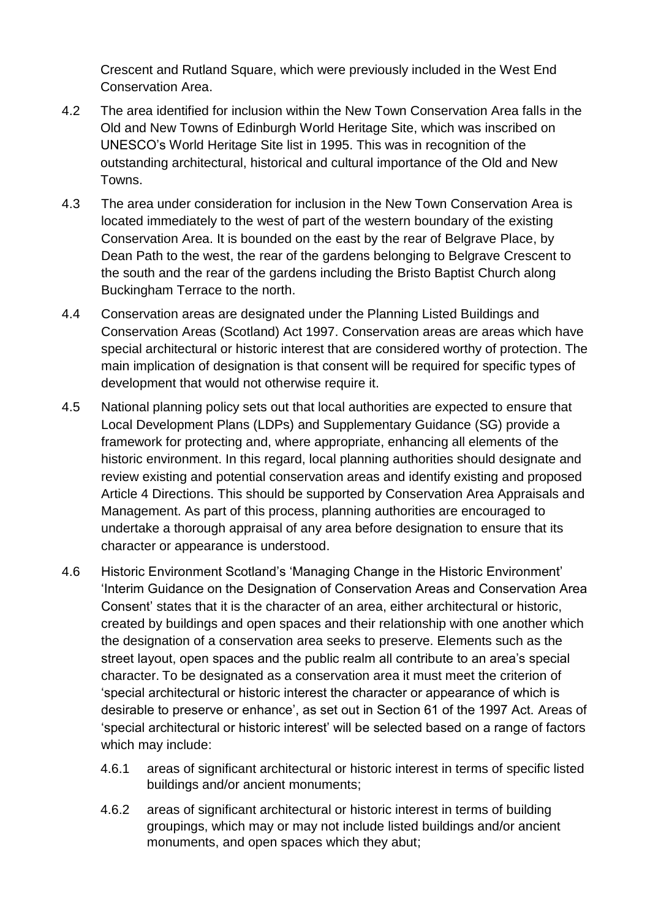Crescent and Rutland Square, which were previously included in the West End Conservation Area.

- 4.2 The area identified for inclusion within the New Town Conservation Area falls in the Old and New Towns of Edinburgh World Heritage Site, which was inscribed on UNESCO's World Heritage Site list in 1995. This was in recognition of the outstanding architectural, historical and cultural importance of the Old and New Towns.
- 4.3 The area under consideration for inclusion in the New Town Conservation Area is located immediately to the west of part of the western boundary of the existing Conservation Area. It is bounded on the east by the rear of Belgrave Place, by Dean Path to the west, the rear of the gardens belonging to Belgrave Crescent to the south and the rear of the gardens including the Bristo Baptist Church along Buckingham Terrace to the north.
- 4.4 Conservation areas are designated under the Planning Listed Buildings and Conservation Areas (Scotland) Act 1997. Conservation areas are areas which have special architectural or historic interest that are considered worthy of protection. The main implication of designation is that consent will be required for specific types of development that would not otherwise require it.
- 4.5 National planning policy sets out that local authorities are expected to ensure that Local Development Plans (LDPs) and Supplementary Guidance (SG) provide a framework for protecting and, where appropriate, enhancing all elements of the historic environment. In this regard, local planning authorities should designate and review existing and potential conservation areas and identify existing and proposed Article 4 Directions. This should be supported by Conservation Area Appraisals and Management. As part of this process, planning authorities are encouraged to undertake a thorough appraisal of any area before designation to ensure that its character or appearance is understood.
- 4.6 Historic Environment Scotland's 'Managing Change in the Historic Environment' 'Interim Guidance on the Designation of Conservation Areas and Conservation Area Consent' states that it is the character of an area, either architectural or historic, created by buildings and open spaces and their relationship with one another which the designation of a conservation area seeks to preserve. Elements such as the street layout, open spaces and the public realm all contribute to an area's special character. To be designated as a conservation area it must meet the criterion of 'special architectural or historic interest the character or appearance of which is desirable to preserve or enhance', as set out in Section 61 of the 1997 Act. Areas of 'special architectural or historic interest' will be selected based on a range of factors which may include:
	- 4.6.1 areas of significant architectural or historic interest in terms of specific listed buildings and/or ancient monuments;
	- 4.6.2 areas of significant architectural or historic interest in terms of building groupings, which may or may not include listed buildings and/or ancient monuments, and open spaces which they abut;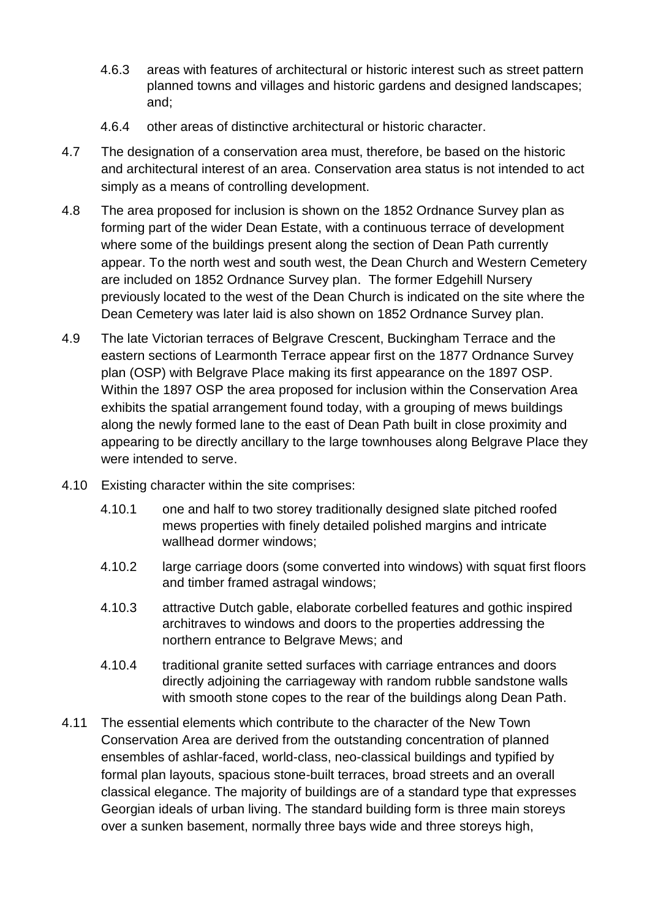- 4.6.3 areas with features of architectural or historic interest such as street pattern planned towns and villages and historic gardens and designed landscapes; and;
- 4.6.4 other areas of distinctive architectural or historic character.
- 4.7 The designation of a conservation area must, therefore, be based on the historic and architectural interest of an area. Conservation area status is not intended to act simply as a means of controlling development.
- 4.8 The area proposed for inclusion is shown on the 1852 Ordnance Survey plan as forming part of the wider Dean Estate, with a continuous terrace of development where some of the buildings present along the section of Dean Path currently appear. To the north west and south west, the Dean Church and Western Cemetery are included on 1852 Ordnance Survey plan. The former Edgehill Nursery previously located to the west of the Dean Church is indicated on the site where the Dean Cemetery was later laid is also shown on 1852 Ordnance Survey plan.
- 4.9 The late Victorian terraces of Belgrave Crescent, Buckingham Terrace and the eastern sections of Learmonth Terrace appear first on the 1877 Ordnance Survey plan (OSP) with Belgrave Place making its first appearance on the 1897 OSP. Within the 1897 OSP the area proposed for inclusion within the Conservation Area exhibits the spatial arrangement found today, with a grouping of mews buildings along the newly formed lane to the east of Dean Path built in close proximity and appearing to be directly ancillary to the large townhouses along Belgrave Place they were intended to serve.
- 4.10 Existing character within the site comprises:
	- 4.10.1 one and half to two storey traditionally designed slate pitched roofed mews properties with finely detailed polished margins and intricate wallhead dormer windows;
	- 4.10.2 large carriage doors (some converted into windows) with squat first floors and timber framed astragal windows;
	- 4.10.3 attractive Dutch gable, elaborate corbelled features and gothic inspired architraves to windows and doors to the properties addressing the northern entrance to Belgrave Mews; and
	- 4.10.4 traditional granite setted surfaces with carriage entrances and doors directly adjoining the carriageway with random rubble sandstone walls with smooth stone copes to the rear of the buildings along Dean Path.
- 4.11 The essential elements which contribute to the character of the New Town Conservation Area are derived from the outstanding concentration of planned ensembles of ashlar-faced, world-class, neo-classical buildings and typified by formal plan layouts, spacious stone-built terraces, broad streets and an overall classical elegance. The majority of buildings are of a standard type that expresses Georgian ideals of urban living. The standard building form is three main storeys over a sunken basement, normally three bays wide and three storeys high,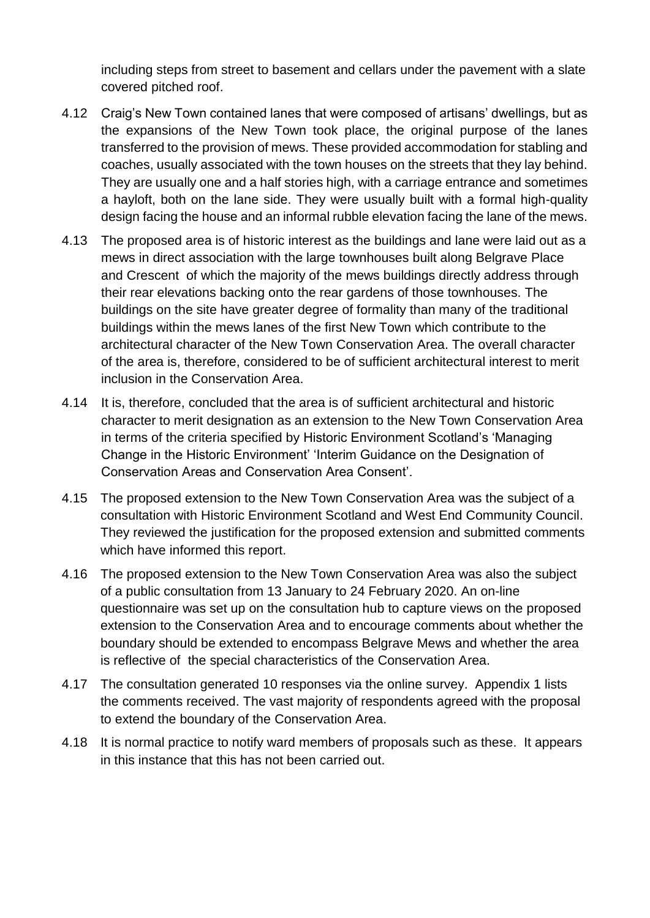including steps from street to basement and cellars under the pavement with a slate covered pitched roof.

- 4.12 Craig's New Town contained lanes that were composed of artisans' dwellings, but as the expansions of the New Town took place, the original purpose of the lanes transferred to the provision of mews. These provided accommodation for stabling and coaches, usually associated with the town houses on the streets that they lay behind. They are usually one and a half stories high, with a carriage entrance and sometimes a hayloft, both on the lane side. They were usually built with a formal high-quality design facing the house and an informal rubble elevation facing the lane of the mews.
- 4.13 The proposed area is of historic interest as the buildings and lane were laid out as a mews in direct association with the large townhouses built along Belgrave Place and Crescent of which the majority of the mews buildings directly address through their rear elevations backing onto the rear gardens of those townhouses. The buildings on the site have greater degree of formality than many of the traditional buildings within the mews lanes of the first New Town which contribute to the architectural character of the New Town Conservation Area. The overall character of the area is, therefore, considered to be of sufficient architectural interest to merit inclusion in the Conservation Area.
- 4.14 It is, therefore, concluded that the area is of sufficient architectural and historic character to merit designation as an extension to the New Town Conservation Area in terms of the criteria specified by Historic Environment Scotland's 'Managing Change in the Historic Environment' 'Interim Guidance on the Designation of Conservation Areas and Conservation Area Consent'.
- 4.15 The proposed extension to the New Town Conservation Area was the subject of a consultation with Historic Environment Scotland and West End Community Council. They reviewed the justification for the proposed extension and submitted comments which have informed this report.
- 4.16 The proposed extension to the New Town Conservation Area was also the subject of a public consultation from 13 January to 24 February 2020. An on-line questionnaire was set up on the consultation hub to capture views on the proposed extension to the Conservation Area and to encourage comments about whether the boundary should be extended to encompass Belgrave Mews and whether the area is reflective of the special characteristics of the Conservation Area.
- 4.17 The consultation generated 10 responses via the online survey. Appendix 1 lists the comments received. The vast majority of respondents agreed with the proposal to extend the boundary of the Conservation Area.
- 4.18 It is normal practice to notify ward members of proposals such as these. It appears in this instance that this has not been carried out.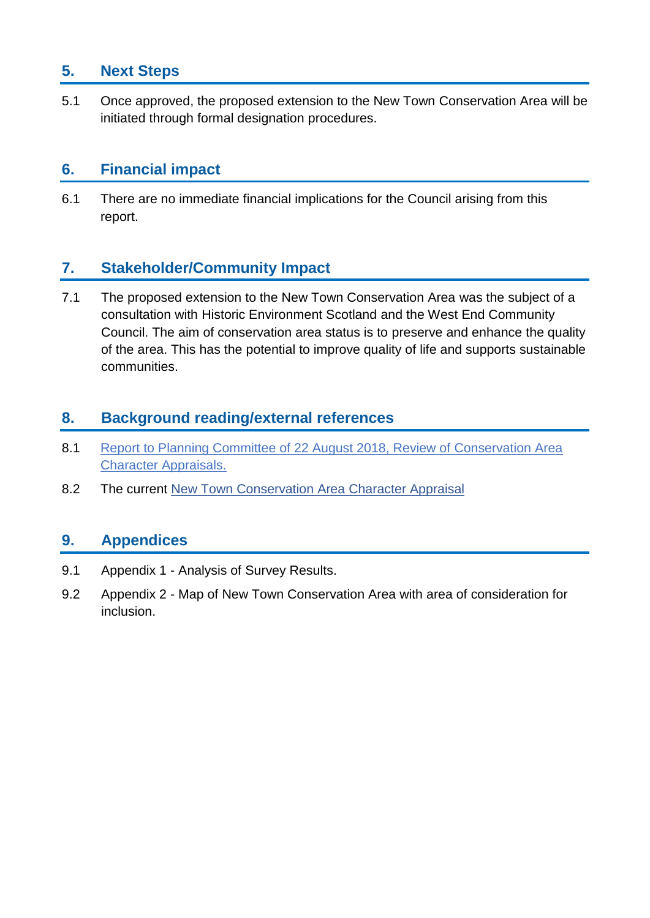## **5. Next Steps**

5.1 Once approved, the proposed extension to the New Town Conservation Area will be initiated through formal designation procedures.

### **6. Financial impact**

6.1 There are no immediate financial implications for the Council arising from this report.

## **7. Stakeholder/Community Impact**

7.1 The proposed extension to the New Town Conservation Area was the subject of a consultation with Historic Environment Scotland and the West End Community Council. The aim of conservation area status is to preserve and enhance the quality of the area. This has the potential to improve quality of life and supports sustainable communities.

### **8. Background reading/external references**

- 8.1 [Report to Planning Committee of 22 August 2018, Review of Conservation Area](http://www.edinburgh.gov.uk/meetings/meeting/4517/planning_committee)  [Character Appraisals.](http://www.edinburgh.gov.uk/meetings/meeting/4517/planning_committee)
- 8.2 The current [New Town Conservation Area Character Appraisal](file://///corpad.corp.edinburgh.gov.uk/departments/CDev/PBS/Built_Environ/Built%20Heritage/Con_Areas/Conservation%20Area%20Main/New%20Town/Boundary%20Extension%202019-20/Committee%20Papers/V.1.0%20%20%20%20%20%20%20%20%20%20Committee%20Report%20Proposed%20extension%20to%20the%20New%20Town%20Conservation%20Area.docx)

## **9. Appendices**

- 9.1 Appendix 1 Analysis of Survey Results.
- 9.2 Appendix 2 Map of New Town Conservation Area with area of consideration for inclusion.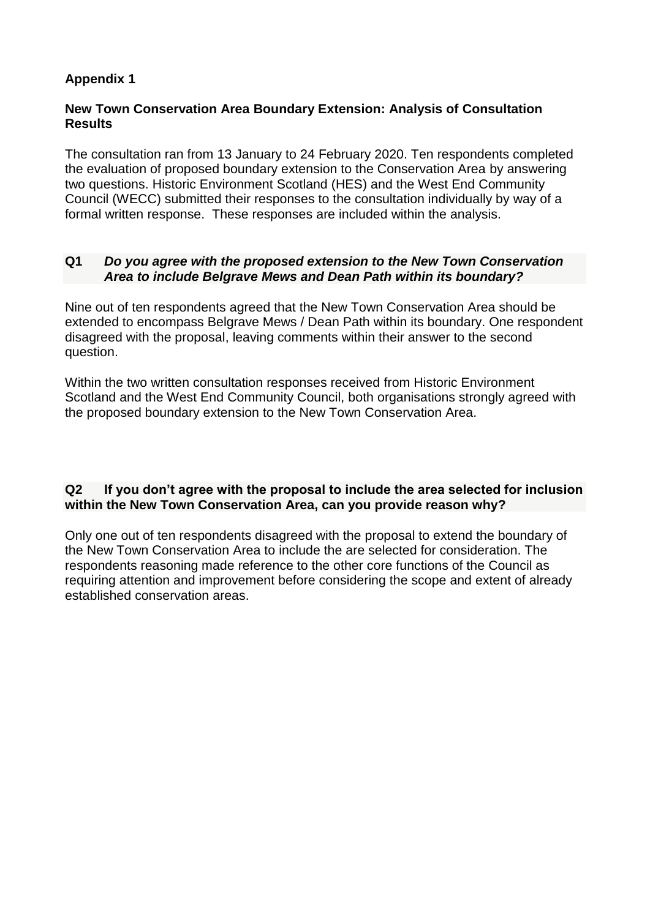#### **Appendix 1**

#### **New Town Conservation Area Boundary Extension: Analysis of Consultation Results**

The consultation ran from 13 January to 24 February 2020. Ten respondents completed the evaluation of proposed boundary extension to the Conservation Area by answering two questions. Historic Environment Scotland (HES) and the West End Community Council (WECC) submitted their responses to the consultation individually by way of a formal written response. These responses are included within the analysis.

#### **Q1** *Do you agree with the proposed extension to the New Town Conservation Area to include Belgrave Mews and Dean Path within its boundary?*

Nine out of ten respondents agreed that the New Town Conservation Area should be extended to encompass Belgrave Mews / Dean Path within its boundary. One respondent disagreed with the proposal, leaving comments within their answer to the second question.

Within the two written consultation responses received from Historic Environment Scotland and the West End Community Council, both organisations strongly agreed with the proposed boundary extension to the New Town Conservation Area.

#### **Q2 If you don't agree with the proposal to include the area selected for inclusion within the New Town Conservation Area, can you provide reason why?**

Only one out of ten respondents disagreed with the proposal to extend the boundary of the New Town Conservation Area to include the are selected for consideration. The respondents reasoning made reference to the other core functions of the Council as requiring attention and improvement before considering the scope and extent of already established conservation areas.